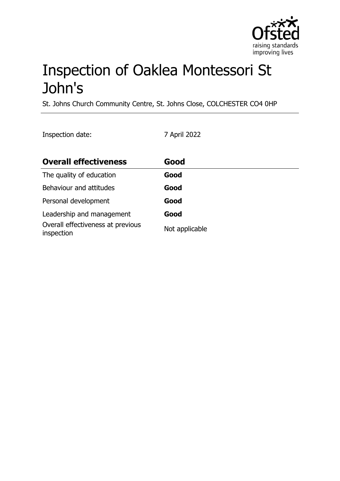

# Inspection of Oaklea Montessori St John's

St. Johns Church Community Centre, St. Johns Close, COLCHESTER CO4 0HP

Inspection date: 7 April 2022

| <b>Overall effectiveness</b>                    | Good           |
|-------------------------------------------------|----------------|
| The quality of education                        | Good           |
| Behaviour and attitudes                         | Good           |
| Personal development                            | Good           |
| Leadership and management                       | Good           |
| Overall effectiveness at previous<br>inspection | Not applicable |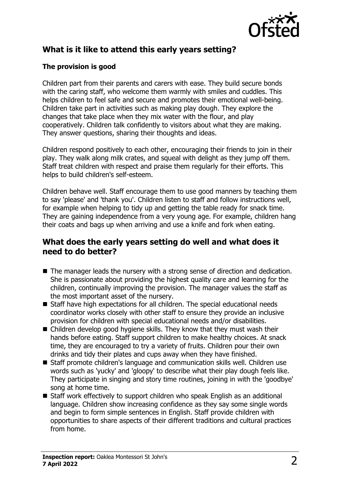

# **What is it like to attend this early years setting?**

#### **The provision is good**

Children part from their parents and carers with ease. They build secure bonds with the caring staff, who welcome them warmly with smiles and cuddles. This helps children to feel safe and secure and promotes their emotional well-being. Children take part in activities such as making play dough. They explore the changes that take place when they mix water with the flour, and play cooperatively. Children talk confidently to visitors about what they are making. They answer questions, sharing their thoughts and ideas.

Children respond positively to each other, encouraging their friends to join in their play. They walk along milk crates, and squeal with delight as they jump off them. Staff treat children with respect and praise them regularly for their efforts. This helps to build children's self-esteem.

Children behave well. Staff encourage them to use good manners by teaching them to say 'please' and 'thank you'. Children listen to staff and follow instructions well, for example when helping to tidy up and getting the table ready for snack time. They are gaining independence from a very young age. For example, children hang their coats and bags up when arriving and use a knife and fork when eating.

#### **What does the early years setting do well and what does it need to do better?**

- $\blacksquare$  The manager leads the nursery with a strong sense of direction and dedication. She is passionate about providing the highest quality care and learning for the children, continually improving the provision. The manager values the staff as the most important asset of the nursery.
- Staff have high expectations for all children. The special educational needs coordinator works closely with other staff to ensure they provide an inclusive provision for children with special educational needs and/or disabilities.
- $\blacksquare$  Children develop good hygiene skills. They know that they must wash their hands before eating. Staff support children to make healthy choices. At snack time, they are encouraged to try a variety of fruits. Children pour their own drinks and tidy their plates and cups away when they have finished.
- $\blacksquare$  Staff promote children's language and communication skills well. Children use words such as 'yucky' and 'gloopy' to describe what their play dough feels like. They participate in singing and story time routines, joining in with the 'goodbye' song at home time.
- $\blacksquare$  Staff work effectively to support children who speak English as an additional language. Children show increasing confidence as they say some single words and begin to form simple sentences in English. Staff provide children with opportunities to share aspects of their different traditions and cultural practices from home.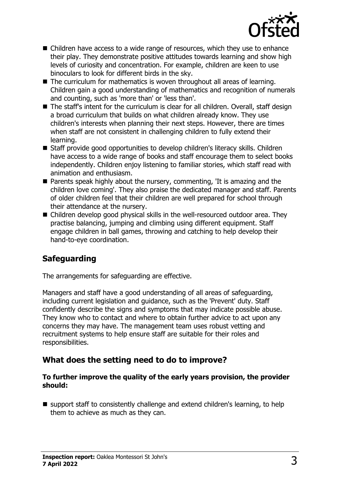

- $\blacksquare$  Children have access to a wide range of resources, which they use to enhance their play. They demonstrate positive attitudes towards learning and show high levels of curiosity and concentration. For example, children are keen to use binoculars to look for different birds in the sky.
- $\blacksquare$  The curriculum for mathematics is woven throughout all areas of learning. Children gain a good understanding of mathematics and recognition of numerals and counting, such as 'more than' or 'less than'.
- The staff's intent for the curriculum is clear for all children. Overall, staff design a broad curriculum that builds on what children already know. They use children's interests when planning their next steps. However, there are times when staff are not consistent in challenging children to fully extend their learning.
- Staff provide good opportunities to develop children's literacy skills. Children have access to a wide range of books and staff encourage them to select books independently. Children enjoy listening to familiar stories, which staff read with animation and enthusiasm.
- $\blacksquare$  Parents speak highly about the nursery, commenting, 'It is amazing and the children love coming'. They also praise the dedicated manager and staff. Parents of older children feel that their children are well prepared for school through their attendance at the nursery.
- $\blacksquare$  Children develop good physical skills in the well-resourced outdoor area. They practise balancing, jumping and climbing using different equipment. Staff engage children in ball games, throwing and catching to help develop their hand-to-eye coordination.

# **Safeguarding**

The arrangements for safeguarding are effective.

Managers and staff have a good understanding of all areas of safeguarding, including current legislation and guidance, such as the 'Prevent' duty. Staff confidently describe the signs and symptoms that may indicate possible abuse. They know who to contact and where to obtain further advice to act upon any concerns they may have. The management team uses robust vetting and recruitment systems to help ensure staff are suitable for their roles and responsibilities.

## **What does the setting need to do to improve?**

#### **To further improve the quality of the early years provision, the provider should:**

 $\blacksquare$  support staff to consistently challenge and extend children's learning, to help them to achieve as much as they can.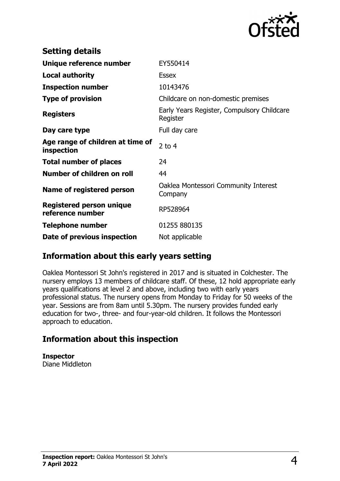

| <b>Setting details</b>                              |                                                        |
|-----------------------------------------------------|--------------------------------------------------------|
| Unique reference number                             | EY550414                                               |
| <b>Local authority</b>                              | <b>Essex</b>                                           |
| <b>Inspection number</b>                            | 10143476                                               |
| <b>Type of provision</b>                            | Childcare on non-domestic premises                     |
| <b>Registers</b>                                    | Early Years Register, Compulsory Childcare<br>Register |
| Day care type                                       | Full day care                                          |
| Age range of children at time of<br>inspection      | 2 to $4$                                               |
| <b>Total number of places</b>                       | 24                                                     |
| Number of children on roll                          | 44                                                     |
| Name of registered person                           | Oaklea Montessori Community Interest<br>Company        |
| <b>Registered person unique</b><br>reference number | RP528964                                               |
| <b>Telephone number</b>                             | 01255 880135                                           |
| Date of previous inspection                         | Not applicable                                         |

## **Information about this early years setting**

Oaklea Montessori St John's registered in 2017 and is situated in Colchester. The nursery employs 13 members of childcare staff. Of these, 12 hold appropriate early years qualifications at level 2 and above, including two with early years professional status. The nursery opens from Monday to Friday for 50 weeks of the year. Sessions are from 8am until 5.30pm. The nursery provides funded early education for two-, three- and four-year-old children. It follows the Montessori approach to education.

## **Information about this inspection**

**Inspector** Diane Middleton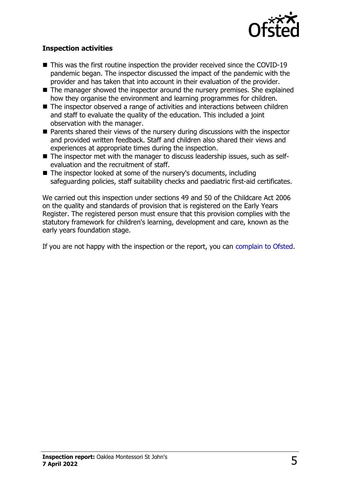

#### **Inspection activities**

- $\blacksquare$  This was the first routine inspection the provider received since the COVID-19 pandemic began. The inspector discussed the impact of the pandemic with the provider and has taken that into account in their evaluation of the provider.
- $\blacksquare$  The manager showed the inspector around the nursery premises. She explained how they organise the environment and learning programmes for children.
- The inspector observed a range of activities and interactions between children and staff to evaluate the quality of the education. This included a joint observation with the manager.
- $\blacksquare$  Parents shared their views of the nursery during discussions with the inspector and provided written feedback. Staff and children also shared their views and experiences at appropriate times during the inspection.
- $\blacksquare$  The inspector met with the manager to discuss leadership issues, such as selfevaluation and the recruitment of staff.
- $\blacksquare$  The inspector looked at some of the nursery's documents, including safeguarding policies, staff suitability checks and paediatric first-aid certificates.

We carried out this inspection under sections 49 and 50 of the Childcare Act 2006 on the quality and standards of provision that is registered on the Early Years Register. The registered person must ensure that this provision complies with the statutory framework for children's learning, development and care, known as the early years foundation stage.

If you are not happy with the inspection or the report, you can [complain to Ofsted](http://www.gov.uk/complain-ofsted-report).